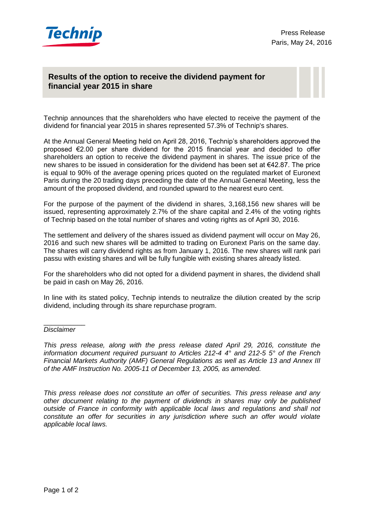

## **Technip… Results of the option to receive the dividend payment for financial year 2015 in share**

Technip announces that the shareholders who have elected to receive the payment of the dividend for financial year 2015 in shares represented 57.3% of Technip's shares.

At the Annual General Meeting held on April 28, 2016, Technip's shareholders approved the proposed €2.00 per share dividend for the 2015 financial year and decided to offer shareholders an option to receive the dividend payment in shares. The issue price of the new shares to be issued in consideration for the dividend has been set at €42.87. The price is equal to 90% of the average opening prices quoted on the regulated market of Euronext Paris during the 20 trading days preceding the date of the Annual General Meeting, less the amount of the proposed dividend, and rounded upward to the nearest euro cent.

For the purpose of the payment of the dividend in shares, 3,168,156 new shares will be issued, representing approximately 2.7% of the share capital and 2.4% of the voting rights of Technip based on the total number of shares and voting rights as of April 30, 2016.

The settlement and delivery of the shares issued as dividend payment will occur on May 26, 2016 and such new shares will be admitted to trading on Euronext Paris on the same day. The shares will carry dividend rights as from January 1, 2016. The new shares will rank pari passu with existing shares and will be fully fungible with existing shares already listed.

For the shareholders who did not opted for a dividend payment in shares, the dividend shall be paid in cash on May 26, 2016.

In line with its stated policy, Technip intends to neutralize the dilution created by the scrip dividend, including through its share repurchase program.

## \_\_\_\_\_\_\_\_\_\_\_ *Disclaimer*

*This press release, along with the press release dated April 29, 2016, constitute the information document required pursuant to Articles 212-4 4° and 212-5 5° of the French Financial Markets Authority (AMF) General Regulations as well as Article 13 and Annex III of the AMF Instruction No. 2005-11 of December 13, 2005, as amended.*

*This press release does not constitute an offer of securities. This press release and any other document relating to the payment of dividends in shares may only be published outside of France in conformity with applicable local laws and regulations and shall not constitute an offer for securities in any jurisdiction where such an offer would violate applicable local laws.*